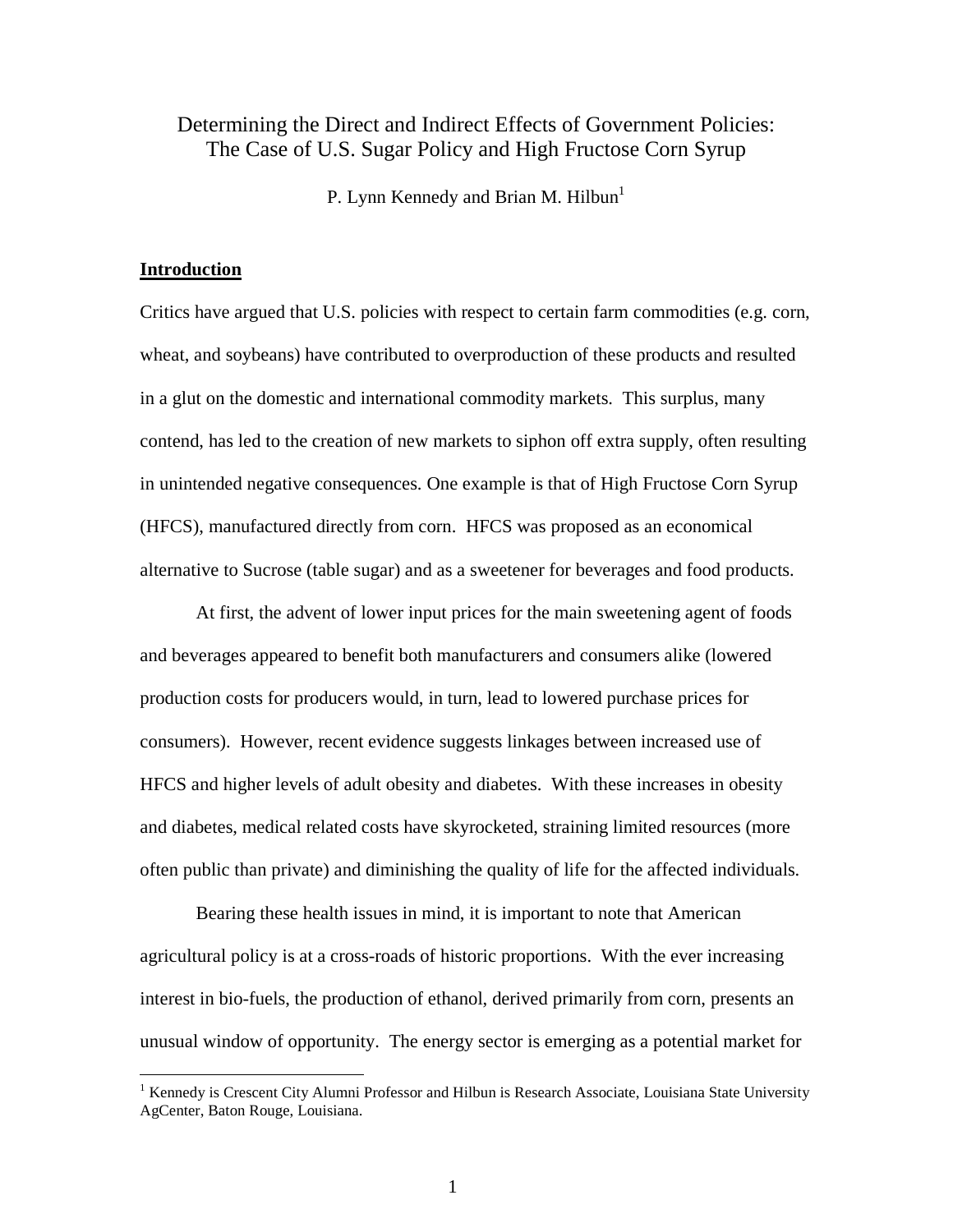# Determining the Direct and Indirect Effects of Government Policies: The Case of U.S. Sugar Policy and High Fructose Corn Syrup

P. Lynn Kennedy and Brian M. Hilbun<sup>1</sup>

## **Introduction**

 $\overline{a}$ 

Critics have argued that U.S. policies with respect to certain farm commodities (e.g. corn, wheat, and soybeans) have contributed to overproduction of these products and resulted in a glut on the domestic and international commodity markets. This surplus, many contend, has led to the creation of new markets to siphon off extra supply, often resulting in unintended negative consequences. One example is that of High Fructose Corn Syrup (HFCS), manufactured directly from corn. HFCS was proposed as an economical alternative to Sucrose (table sugar) and as a sweetener for beverages and food products.

At first, the advent of lower input prices for the main sweetening agent of foods and beverages appeared to benefit both manufacturers and consumers alike (lowered production costs for producers would, in turn, lead to lowered purchase prices for consumers). However, recent evidence suggests linkages between increased use of HFCS and higher levels of adult obesity and diabetes. With these increases in obesity and diabetes, medical related costs have skyrocketed, straining limited resources (more often public than private) and diminishing the quality of life for the affected individuals.

Bearing these health issues in mind, it is important to note that American agricultural policy is at a cross-roads of historic proportions. With the ever increasing interest in bio-fuels, the production of ethanol, derived primarily from corn, presents an unusual window of opportunity. The energy sector is emerging as a potential market for

<sup>&</sup>lt;sup>1</sup> Kennedy is Crescent City Alumni Professor and Hilbun is Research Associate, Louisiana State University AgCenter, Baton Rouge, Louisiana.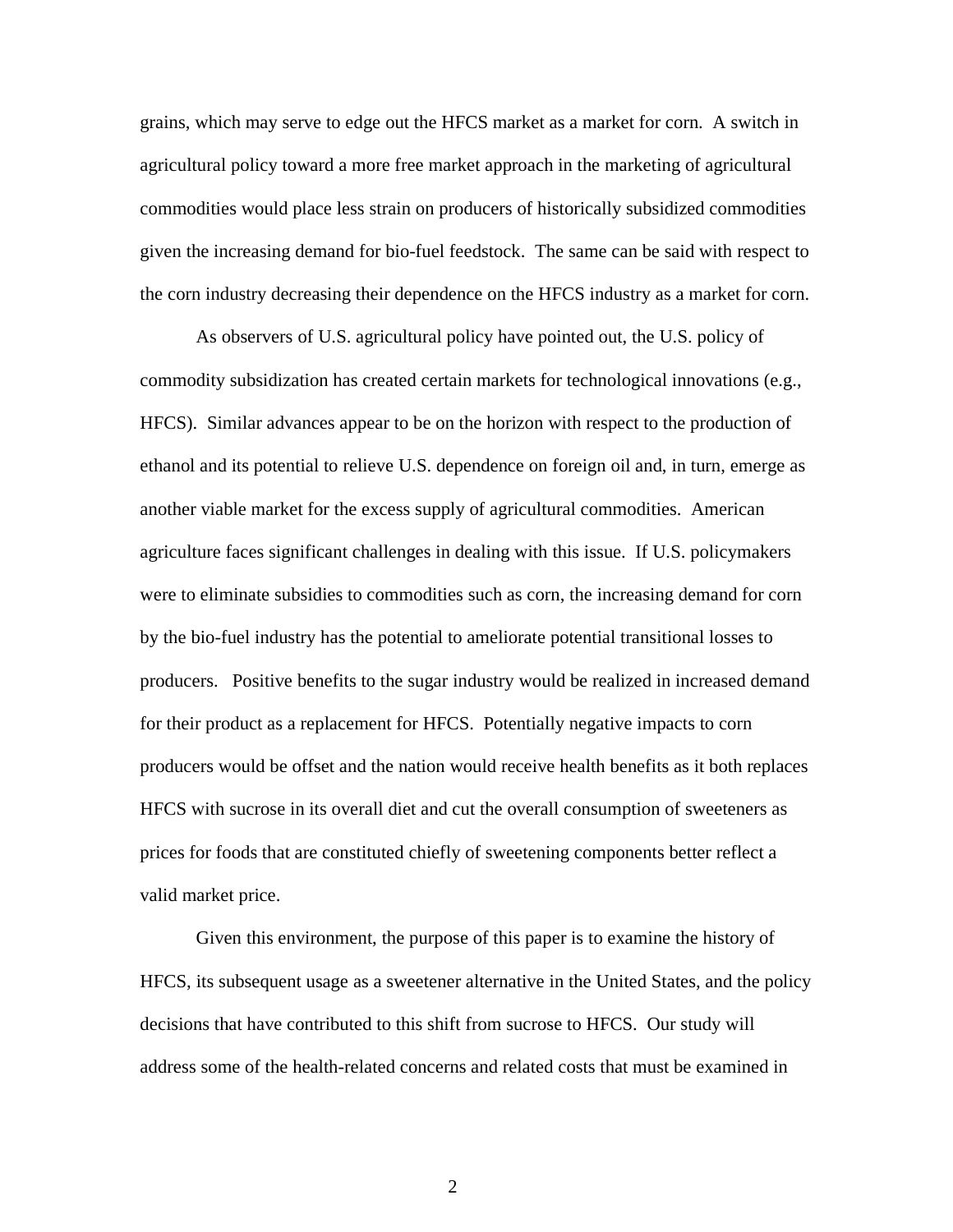grains, which may serve to edge out the HFCS market as a market for corn. A switch in agricultural policy toward a more free market approach in the marketing of agricultural commodities would place less strain on producers of historically subsidized commodities given the increasing demand for bio-fuel feedstock. The same can be said with respect to the corn industry decreasing their dependence on the HFCS industry as a market for corn.

As observers of U.S. agricultural policy have pointed out, the U.S. policy of commodity subsidization has created certain markets for technological innovations (e.g., HFCS). Similar advances appear to be on the horizon with respect to the production of ethanol and its potential to relieve U.S. dependence on foreign oil and, in turn, emerge as another viable market for the excess supply of agricultural commodities. American agriculture faces significant challenges in dealing with this issue. If U.S. policymakers were to eliminate subsidies to commodities such as corn, the increasing demand for corn by the bio-fuel industry has the potential to ameliorate potential transitional losses to producers. Positive benefits to the sugar industry would be realized in increased demand for their product as a replacement for HFCS. Potentially negative impacts to corn producers would be offset and the nation would receive health benefits as it both replaces HFCS with sucrose in its overall diet and cut the overall consumption of sweeteners as prices for foods that are constituted chiefly of sweetening components better reflect a valid market price.

Given this environment, the purpose of this paper is to examine the history of HFCS, its subsequent usage as a sweetener alternative in the United States, and the policy decisions that have contributed to this shift from sucrose to HFCS. Our study will address some of the health-related concerns and related costs that must be examined in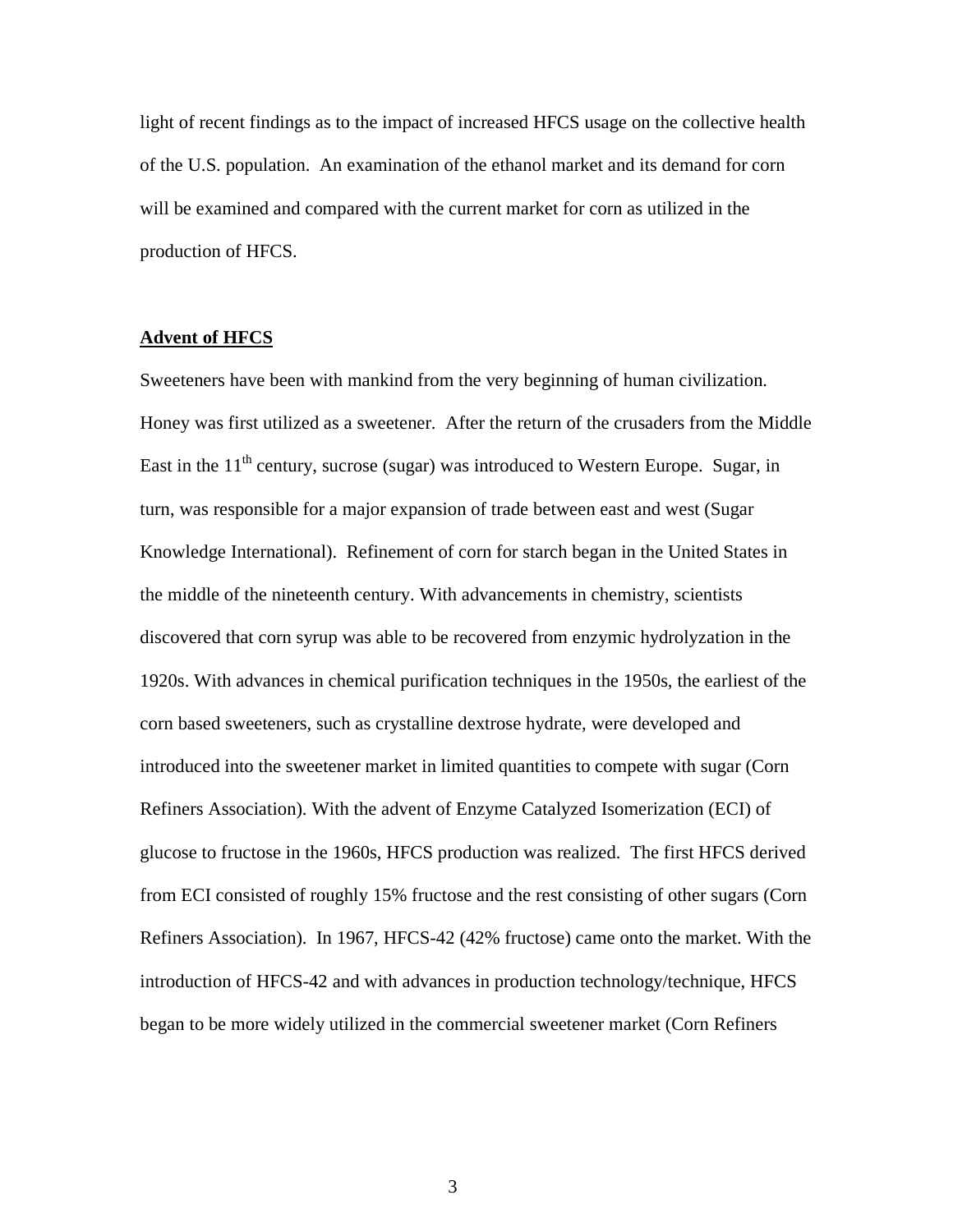light of recent findings as to the impact of increased HFCS usage on the collective health of the U.S. population. An examination of the ethanol market and its demand for corn will be examined and compared with the current market for corn as utilized in the production of HFCS.

## **Advent of HFCS**

Sweeteners have been with mankind from the very beginning of human civilization. Honey was first utilized as a sweetener. After the return of the crusaders from the Middle East in the  $11<sup>th</sup>$  century, sucrose (sugar) was introduced to Western Europe. Sugar, in turn, was responsible for a major expansion of trade between east and west (Sugar Knowledge International). Refinement of corn for starch began in the United States in the middle of the nineteenth century. With advancements in chemistry, scientists discovered that corn syrup was able to be recovered from enzymic hydrolyzation in the 1920s. With advances in chemical purification techniques in the 1950s, the earliest of the corn based sweeteners, such as crystalline dextrose hydrate, were developed and introduced into the sweetener market in limited quantities to compete with sugar (Corn Refiners Association). With the advent of Enzyme Catalyzed Isomerization (ECI) of glucose to fructose in the 1960s, HFCS production was realized. The first HFCS derived from ECI consisted of roughly 15% fructose and the rest consisting of other sugars (Corn Refiners Association). In 1967, HFCS-42 (42% fructose) came onto the market. With the introduction of HFCS-42 and with advances in production technology/technique, HFCS began to be more widely utilized in the commercial sweetener market (Corn Refiners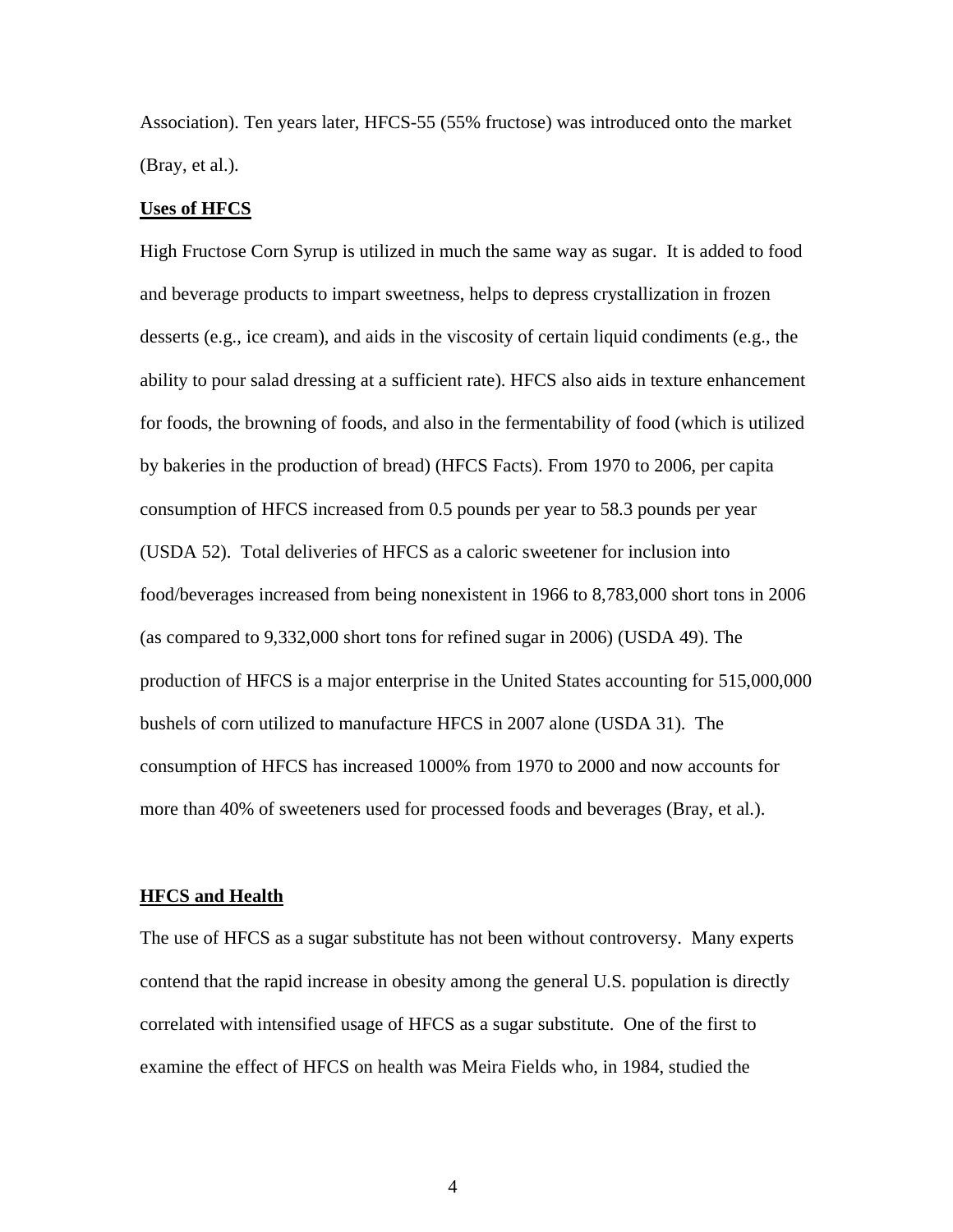Association). Ten years later, HFCS-55 (55% fructose) was introduced onto the market (Bray, et al.).

## **Uses of HFCS**

High Fructose Corn Syrup is utilized in much the same way as sugar. It is added to food and beverage products to impart sweetness, helps to depress crystallization in frozen desserts (e.g., ice cream), and aids in the viscosity of certain liquid condiments (e.g., the ability to pour salad dressing at a sufficient rate). HFCS also aids in texture enhancement for foods, the browning of foods, and also in the fermentability of food (which is utilized by bakeries in the production of bread) (HFCS Facts). From 1970 to 2006, per capita consumption of HFCS increased from 0.5 pounds per year to 58.3 pounds per year (USDA 52). Total deliveries of HFCS as a caloric sweetener for inclusion into food/beverages increased from being nonexistent in 1966 to 8,783,000 short tons in 2006 (as compared to 9,332,000 short tons for refined sugar in 2006) (USDA 49). The production of HFCS is a major enterprise in the United States accounting for 515,000,000 bushels of corn utilized to manufacture HFCS in 2007 alone (USDA 31). The consumption of HFCS has increased 1000% from 1970 to 2000 and now accounts for more than 40% of sweeteners used for processed foods and beverages (Bray, et al.).

#### **HFCS and Health**

The use of HFCS as a sugar substitute has not been without controversy. Many experts contend that the rapid increase in obesity among the general U.S. population is directly correlated with intensified usage of HFCS as a sugar substitute. One of the first to examine the effect of HFCS on health was Meira Fields who, in 1984, studied the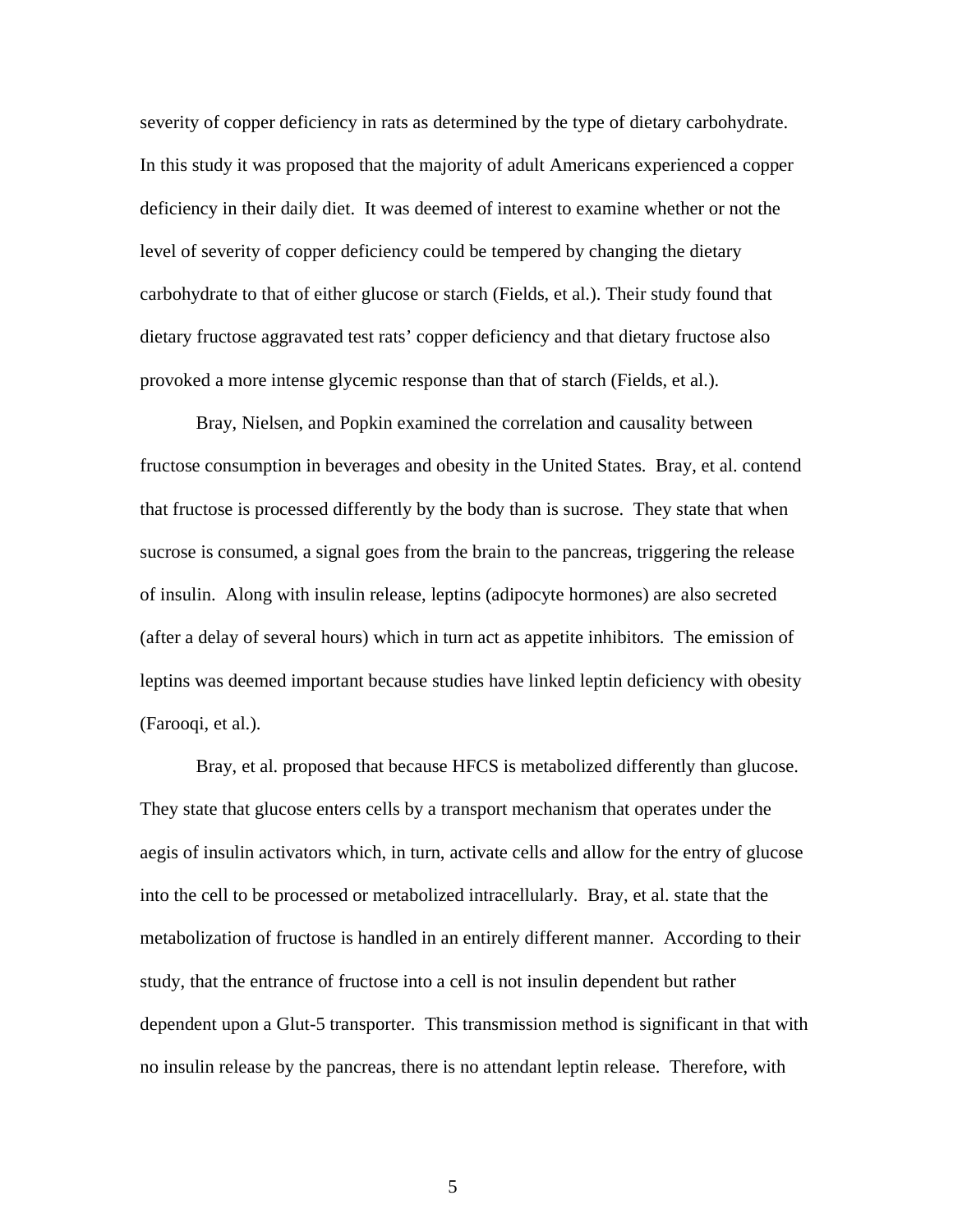severity of copper deficiency in rats as determined by the type of dietary carbohydrate. In this study it was proposed that the majority of adult Americans experienced a copper deficiency in their daily diet. It was deemed of interest to examine whether or not the level of severity of copper deficiency could be tempered by changing the dietary carbohydrate to that of either glucose or starch (Fields, et al.). Their study found that dietary fructose aggravated test rats' copper deficiency and that dietary fructose also provoked a more intense glycemic response than that of starch (Fields, et al.).

Bray, Nielsen, and Popkin examined the correlation and causality between fructose consumption in beverages and obesity in the United States. Bray, et al. contend that fructose is processed differently by the body than is sucrose. They state that when sucrose is consumed, a signal goes from the brain to the pancreas, triggering the release of insulin. Along with insulin release, leptins (adipocyte hormones) are also secreted (after a delay of several hours) which in turn act as appetite inhibitors. The emission of leptins was deemed important because studies have linked leptin deficiency with obesity (Farooqi, et al.).

Bray, et al. proposed that because HFCS is metabolized differently than glucose. They state that glucose enters cells by a transport mechanism that operates under the aegis of insulin activators which, in turn, activate cells and allow for the entry of glucose into the cell to be processed or metabolized intracellularly. Bray, et al. state that the metabolization of fructose is handled in an entirely different manner. According to their study, that the entrance of fructose into a cell is not insulin dependent but rather dependent upon a Glut-5 transporter. This transmission method is significant in that with no insulin release by the pancreas, there is no attendant leptin release. Therefore, with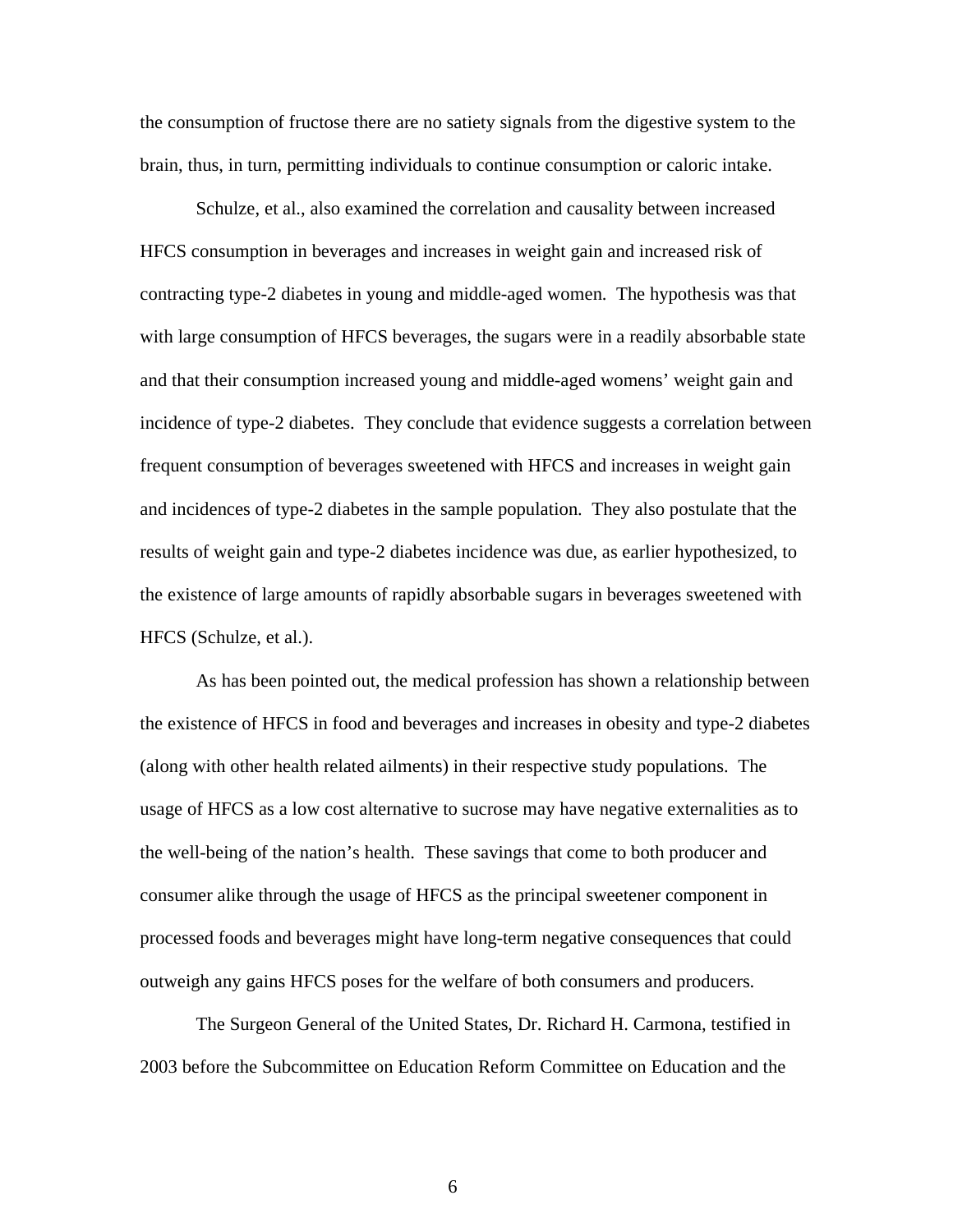the consumption of fructose there are no satiety signals from the digestive system to the brain, thus, in turn, permitting individuals to continue consumption or caloric intake.

Schulze, et al., also examined the correlation and causality between increased HFCS consumption in beverages and increases in weight gain and increased risk of contracting type-2 diabetes in young and middle-aged women. The hypothesis was that with large consumption of HFCS beverages, the sugars were in a readily absorbable state and that their consumption increased young and middle-aged womens' weight gain and incidence of type-2 diabetes. They conclude that evidence suggests a correlation between frequent consumption of beverages sweetened with HFCS and increases in weight gain and incidences of type-2 diabetes in the sample population. They also postulate that the results of weight gain and type-2 diabetes incidence was due, as earlier hypothesized, to the existence of large amounts of rapidly absorbable sugars in beverages sweetened with HFCS (Schulze, et al.).

 As has been pointed out, the medical profession has shown a relationship between the existence of HFCS in food and beverages and increases in obesity and type-2 diabetes (along with other health related ailments) in their respective study populations. The usage of HFCS as a low cost alternative to sucrose may have negative externalities as to the well-being of the nation's health. These savings that come to both producer and consumer alike through the usage of HFCS as the principal sweetener component in processed foods and beverages might have long-term negative consequences that could outweigh any gains HFCS poses for the welfare of both consumers and producers.

The Surgeon General of the United States, Dr. Richard H. Carmona, testified in 2003 before the Subcommittee on Education Reform Committee on Education and the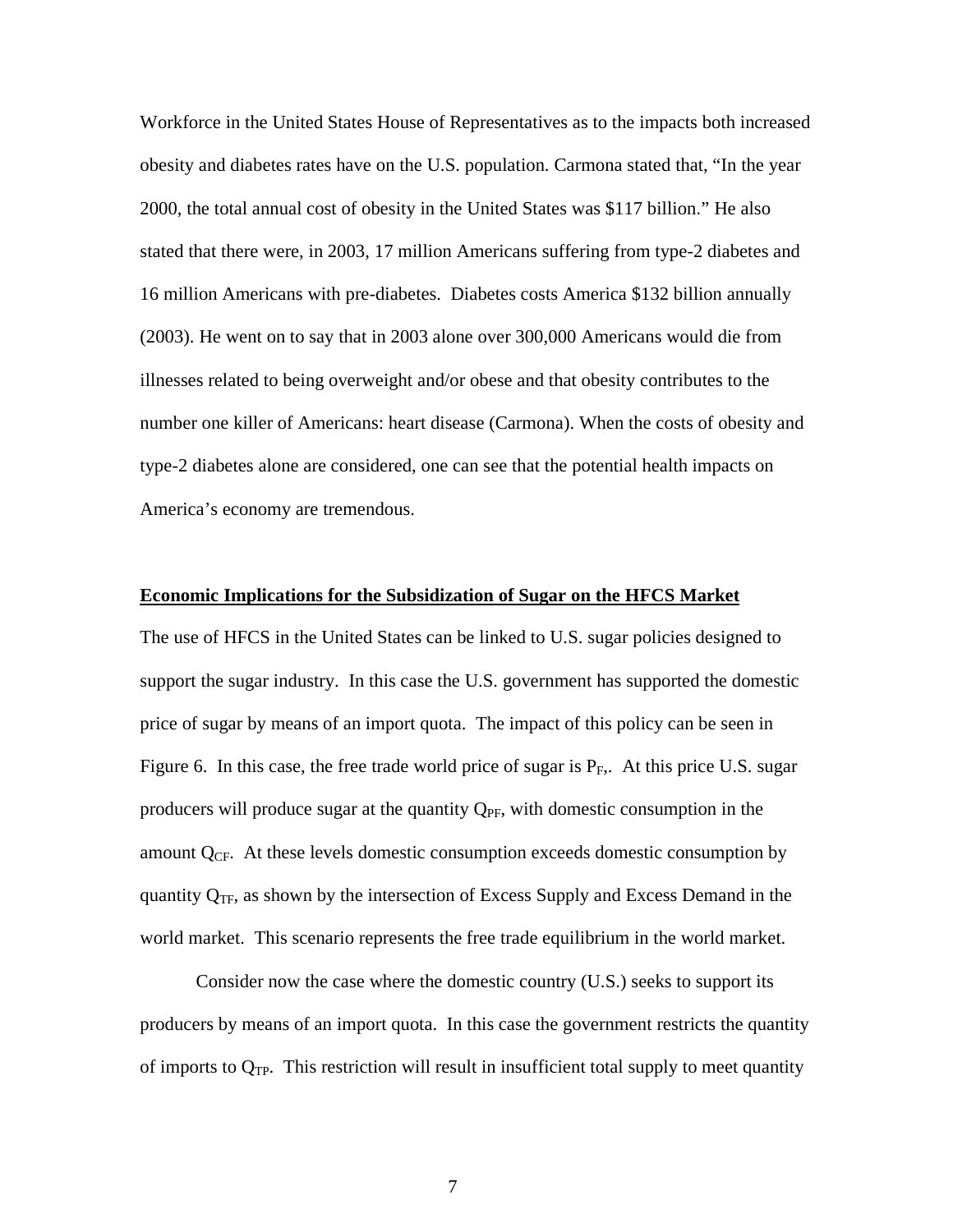Workforce in the United States House of Representatives as to the impacts both increased obesity and diabetes rates have on the U.S. population. Carmona stated that, "In the year 2000, the total annual cost of obesity in the United States was \$117 billion." He also stated that there were, in 2003, 17 million Americans suffering from type-2 diabetes and 16 million Americans with pre-diabetes. Diabetes costs America \$132 billion annually (2003). He went on to say that in 2003 alone over 300,000 Americans would die from illnesses related to being overweight and/or obese and that obesity contributes to the number one killer of Americans: heart disease (Carmona). When the costs of obesity and type-2 diabetes alone are considered, one can see that the potential health impacts on America's economy are tremendous.

#### **Economic Implications for the Subsidization of Sugar on the HFCS Market**

The use of HFCS in the United States can be linked to U.S. sugar policies designed to support the sugar industry. In this case the U.S. government has supported the domestic price of sugar by means of an import quota. The impact of this policy can be seen in Figure 6. In this case, the free trade world price of sugar is  $P_F$ . At this price U.S. sugar producers will produce sugar at the quantity  $Q_{PF}$ , with domestic consumption in the amount  $Q_{CF}$ . At these levels domestic consumption exceeds domestic consumption by quantity  $Q_{TF}$ , as shown by the intersection of Excess Supply and Excess Demand in the world market. This scenario represents the free trade equilibrium in the world market.

 Consider now the case where the domestic country (U.S.) seeks to support its producers by means of an import quota. In this case the government restricts the quantity of imports to  $Q_{TP}$ . This restriction will result in insufficient total supply to meet quantity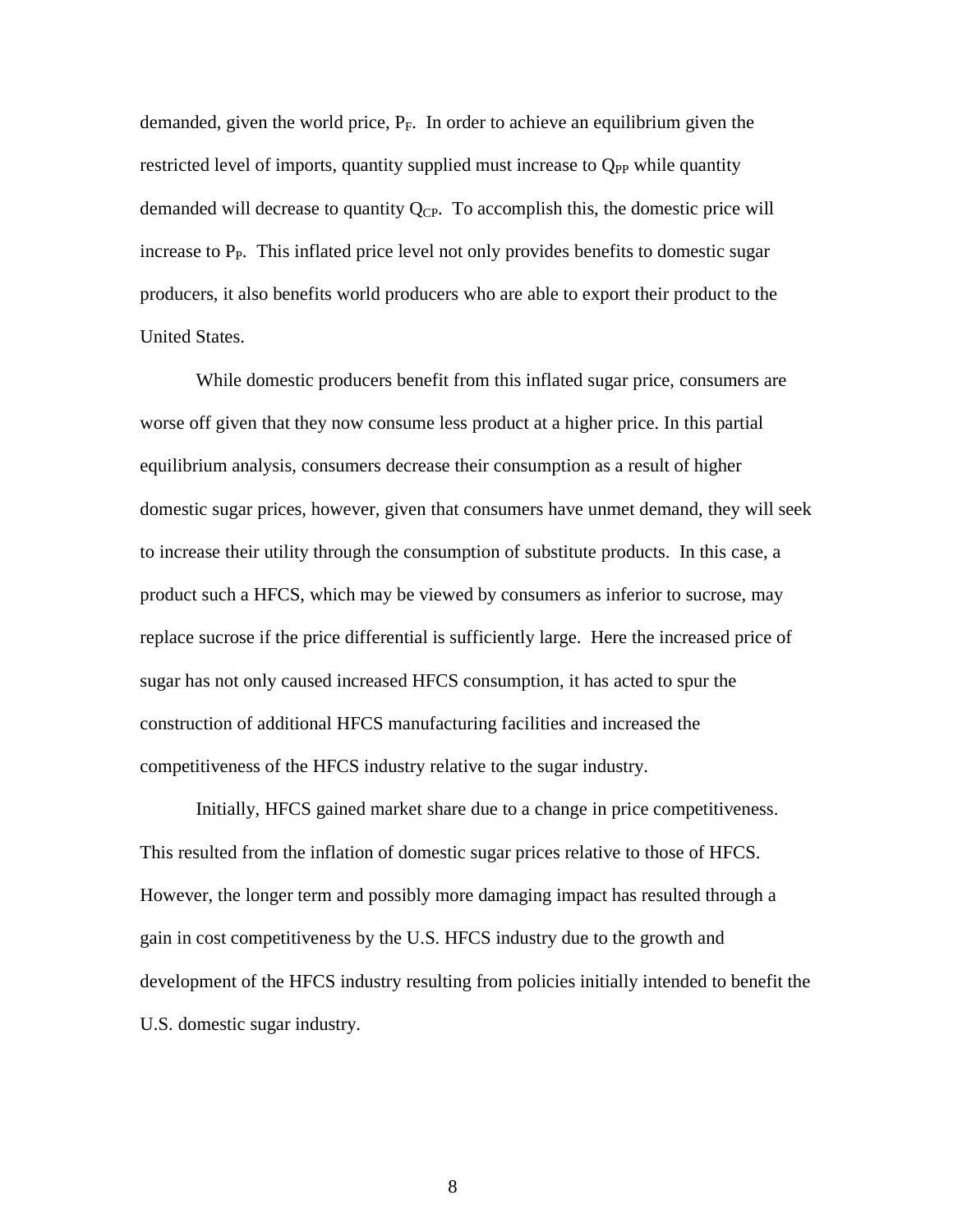demanded, given the world price,  $P_F$ . In order to achieve an equilibrium given the restricted level of imports, quantity supplied must increase to  $Q_{PP}$  while quantity demanded will decrease to quantity  $Q_{CP}$ . To accomplish this, the domestic price will increase to  $P_P$ . This inflated price level not only provides benefits to domestic sugar producers, it also benefits world producers who are able to export their product to the United States.

 While domestic producers benefit from this inflated sugar price, consumers are worse off given that they now consume less product at a higher price. In this partial equilibrium analysis, consumers decrease their consumption as a result of higher domestic sugar prices, however, given that consumers have unmet demand, they will seek to increase their utility through the consumption of substitute products. In this case, a product such a HFCS, which may be viewed by consumers as inferior to sucrose, may replace sucrose if the price differential is sufficiently large. Here the increased price of sugar has not only caused increased HFCS consumption, it has acted to spur the construction of additional HFCS manufacturing facilities and increased the competitiveness of the HFCS industry relative to the sugar industry.

 Initially, HFCS gained market share due to a change in price competitiveness. This resulted from the inflation of domestic sugar prices relative to those of HFCS. However, the longer term and possibly more damaging impact has resulted through a gain in cost competitiveness by the U.S. HFCS industry due to the growth and development of the HFCS industry resulting from policies initially intended to benefit the U.S. domestic sugar industry.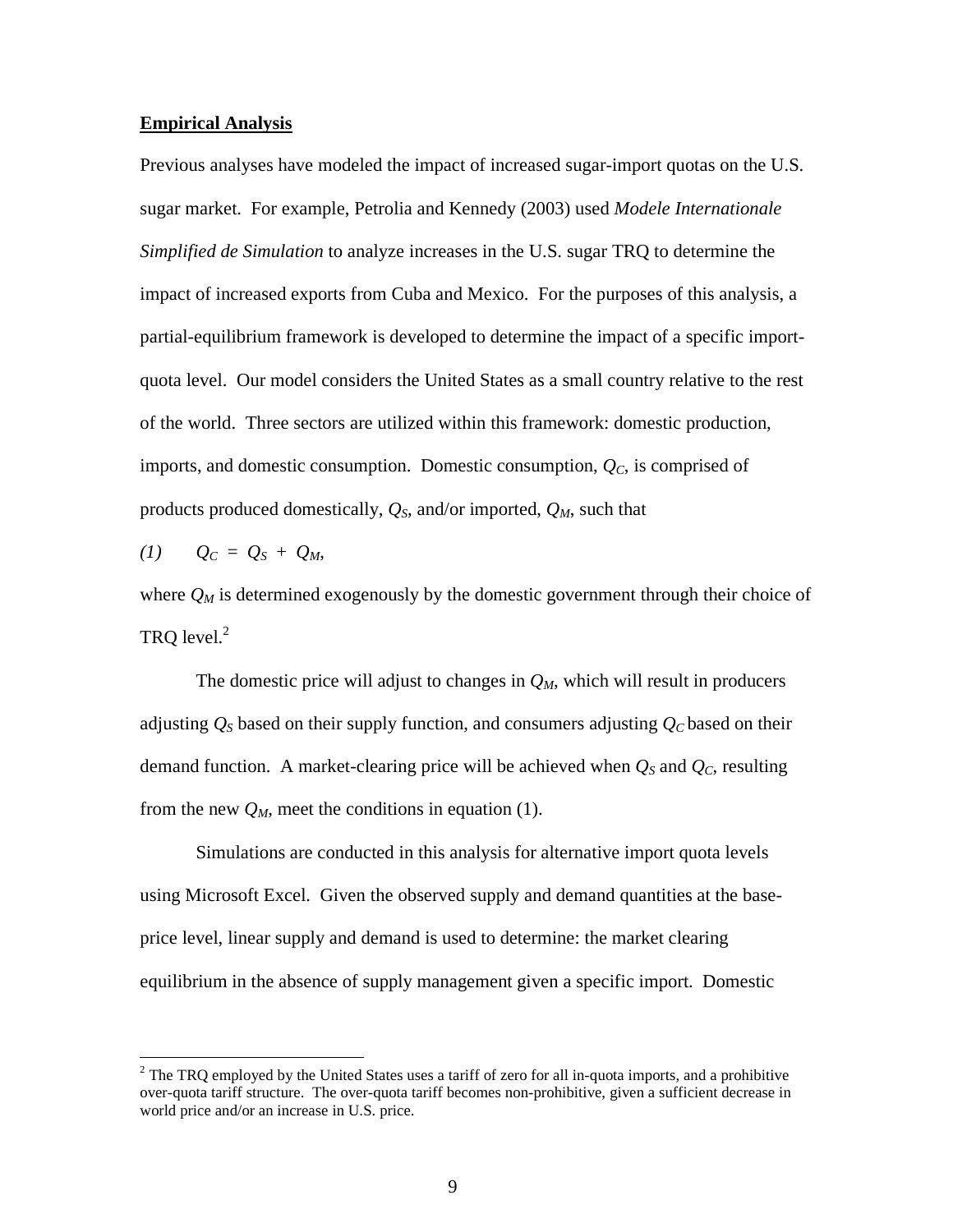#### **Empirical Analysis**

Previous analyses have modeled the impact of increased sugar-import quotas on the U.S. sugar market. For example, Petrolia and Kennedy (2003) used *Modele Internationale Simplified de Simulation* to analyze increases in the U.S. sugar TRQ to determine the impact of increased exports from Cuba and Mexico. For the purposes of this analysis, a partial-equilibrium framework is developed to determine the impact of a specific importquota level. Our model considers the United States as a small country relative to the rest of the world. Three sectors are utilized within this framework: domestic production, imports, and domestic consumption. Domestic consumption, *QC*, is comprised of products produced domestically, *QS*, and/or imported, *QM*, such that

$$
(1) \qquad Q_C = Q_S + Q_M,
$$

<u>.</u>

where  $Q_M$  is determined exogenously by the domestic government through their choice of TRQ level.<sup>2</sup>

The domestic price will adjust to changes in *QM*, which will result in producers adjusting  $Q_S$  based on their supply function, and consumers adjusting  $Q_C$  based on their demand function. A market-clearing price will be achieved when  $Q_S$  and  $Q_C$ , resulting from the new  $Q_M$ , meet the conditions in equation (1).

Simulations are conducted in this analysis for alternative import quota levels using Microsoft Excel. Given the observed supply and demand quantities at the baseprice level, linear supply and demand is used to determine: the market clearing equilibrium in the absence of supply management given a specific import. Domestic

 $2^2$  The TRQ employed by the United States uses a tariff of zero for all in-quota imports, and a prohibitive over-quota tariff structure. The over-quota tariff becomes non-prohibitive, given a sufficient decrease in world price and/or an increase in U.S. price.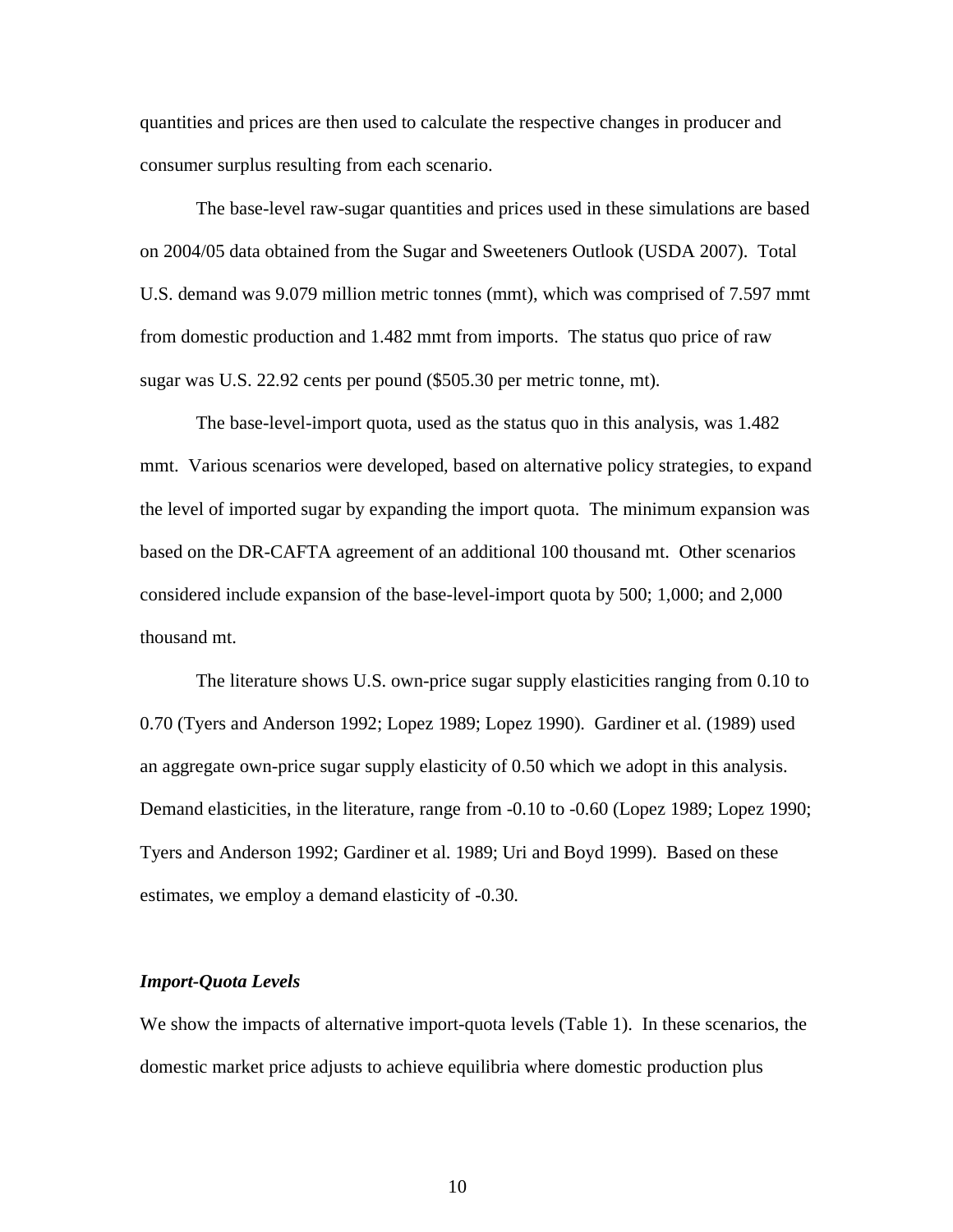quantities and prices are then used to calculate the respective changes in producer and consumer surplus resulting from each scenario.

The base-level raw-sugar quantities and prices used in these simulations are based on 2004/05 data obtained from the Sugar and Sweeteners Outlook (USDA 2007). Total U.S. demand was 9.079 million metric tonnes (mmt), which was comprised of 7.597 mmt from domestic production and 1.482 mmt from imports. The status quo price of raw sugar was U.S. 22.92 cents per pound (\$505.30 per metric tonne, mt).

The base-level-import quota, used as the status quo in this analysis, was 1.482 mmt. Various scenarios were developed, based on alternative policy strategies, to expand the level of imported sugar by expanding the import quota. The minimum expansion was based on the DR-CAFTA agreement of an additional 100 thousand mt. Other scenarios considered include expansion of the base-level-import quota by 500; 1,000; and 2,000 thousand mt.

The literature shows U.S. own-price sugar supply elasticities ranging from 0.10 to 0.70 (Tyers and Anderson 1992; Lopez 1989; Lopez 1990). Gardiner et al. (1989) used an aggregate own-price sugar supply elasticity of 0.50 which we adopt in this analysis. Demand elasticities, in the literature, range from -0.10 to -0.60 (Lopez 1989; Lopez 1990; Tyers and Anderson 1992; Gardiner et al. 1989; Uri and Boyd 1999). Based on these estimates, we employ a demand elasticity of -0.30.

### *Import-Quota Levels*

We show the impacts of alternative import-quota levels (Table 1). In these scenarios, the domestic market price adjusts to achieve equilibria where domestic production plus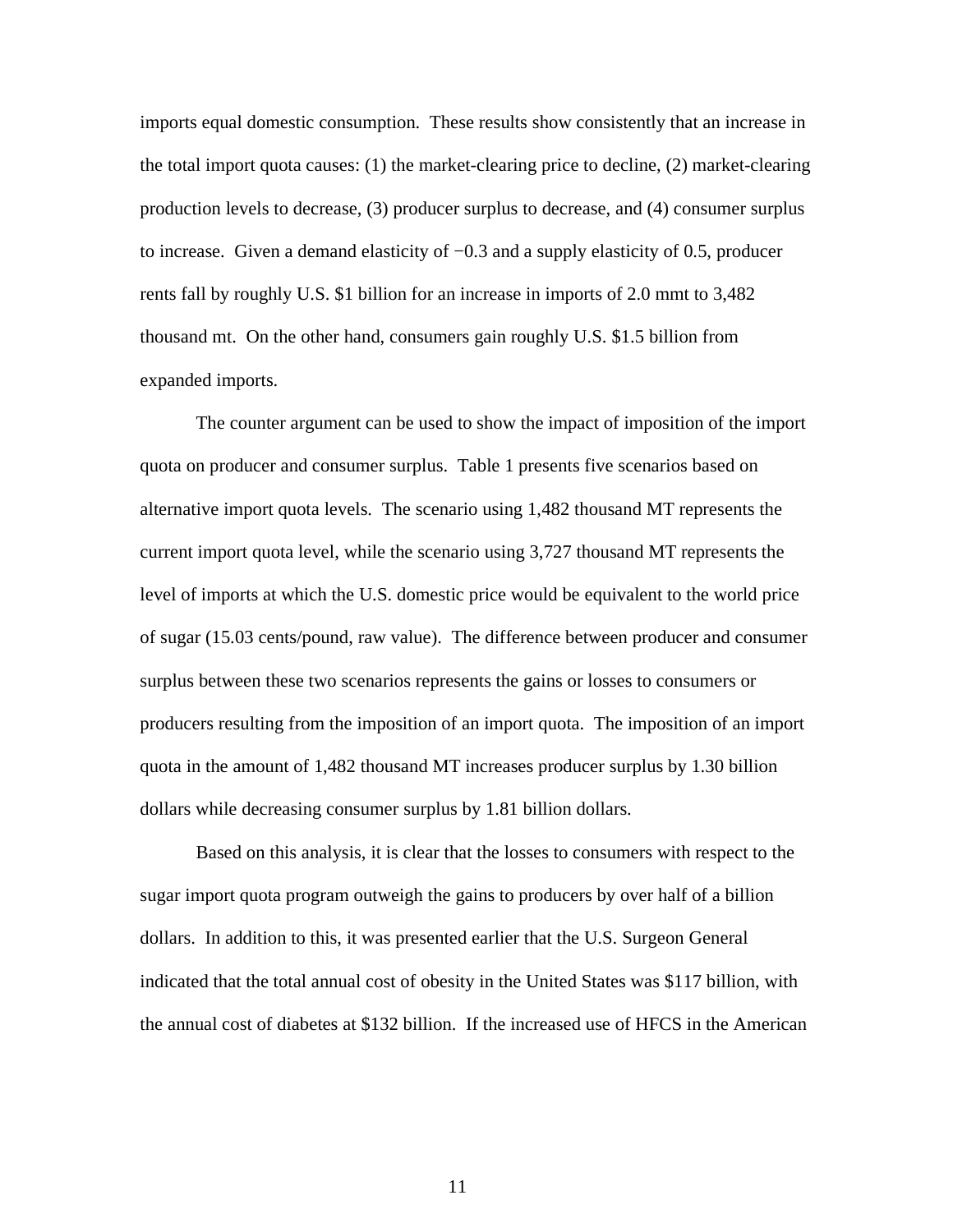imports equal domestic consumption. These results show consistently that an increase in the total import quota causes: (1) the market-clearing price to decline, (2) market-clearing production levels to decrease, (3) producer surplus to decrease, and (4) consumer surplus to increase. Given a demand elasticity of −0.3 and a supply elasticity of 0.5, producer rents fall by roughly U.S. \$1 billion for an increase in imports of 2.0 mmt to 3,482 thousand mt. On the other hand, consumers gain roughly U.S. \$1.5 billion from expanded imports.

 The counter argument can be used to show the impact of imposition of the import quota on producer and consumer surplus. Table 1 presents five scenarios based on alternative import quota levels. The scenario using 1,482 thousand MT represents the current import quota level, while the scenario using 3,727 thousand MT represents the level of imports at which the U.S. domestic price would be equivalent to the world price of sugar (15.03 cents/pound, raw value). The difference between producer and consumer surplus between these two scenarios represents the gains or losses to consumers or producers resulting from the imposition of an import quota. The imposition of an import quota in the amount of 1,482 thousand MT increases producer surplus by 1.30 billion dollars while decreasing consumer surplus by 1.81 billion dollars.

 Based on this analysis, it is clear that the losses to consumers with respect to the sugar import quota program outweigh the gains to producers by over half of a billion dollars. In addition to this, it was presented earlier that the U.S. Surgeon General indicated that the total annual cost of obesity in the United States was \$117 billion, with the annual cost of diabetes at \$132 billion. If the increased use of HFCS in the American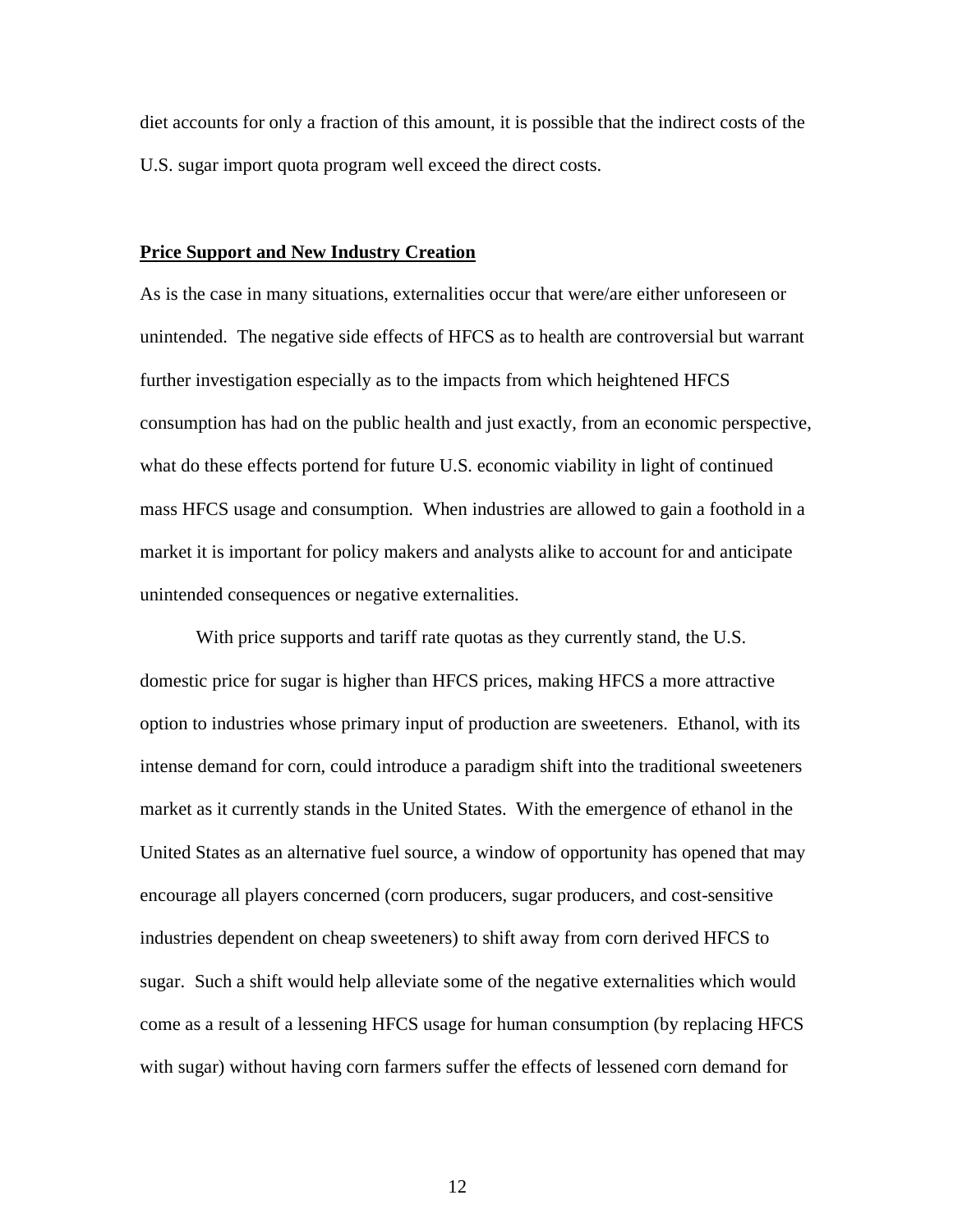diet accounts for only a fraction of this amount, it is possible that the indirect costs of the U.S. sugar import quota program well exceed the direct costs.

### **Price Support and New Industry Creation**

As is the case in many situations, externalities occur that were/are either unforeseen or unintended. The negative side effects of HFCS as to health are controversial but warrant further investigation especially as to the impacts from which heightened HFCS consumption has had on the public health and just exactly, from an economic perspective, what do these effects portend for future U.S. economic viability in light of continued mass HFCS usage and consumption. When industries are allowed to gain a foothold in a market it is important for policy makers and analysts alike to account for and anticipate unintended consequences or negative externalities.

 With price supports and tariff rate quotas as they currently stand, the U.S. domestic price for sugar is higher than HFCS prices, making HFCS a more attractive option to industries whose primary input of production are sweeteners. Ethanol, with its intense demand for corn, could introduce a paradigm shift into the traditional sweeteners market as it currently stands in the United States. With the emergence of ethanol in the United States as an alternative fuel source, a window of opportunity has opened that may encourage all players concerned (corn producers, sugar producers, and cost-sensitive industries dependent on cheap sweeteners) to shift away from corn derived HFCS to sugar. Such a shift would help alleviate some of the negative externalities which would come as a result of a lessening HFCS usage for human consumption (by replacing HFCS with sugar) without having corn farmers suffer the effects of lessened corn demand for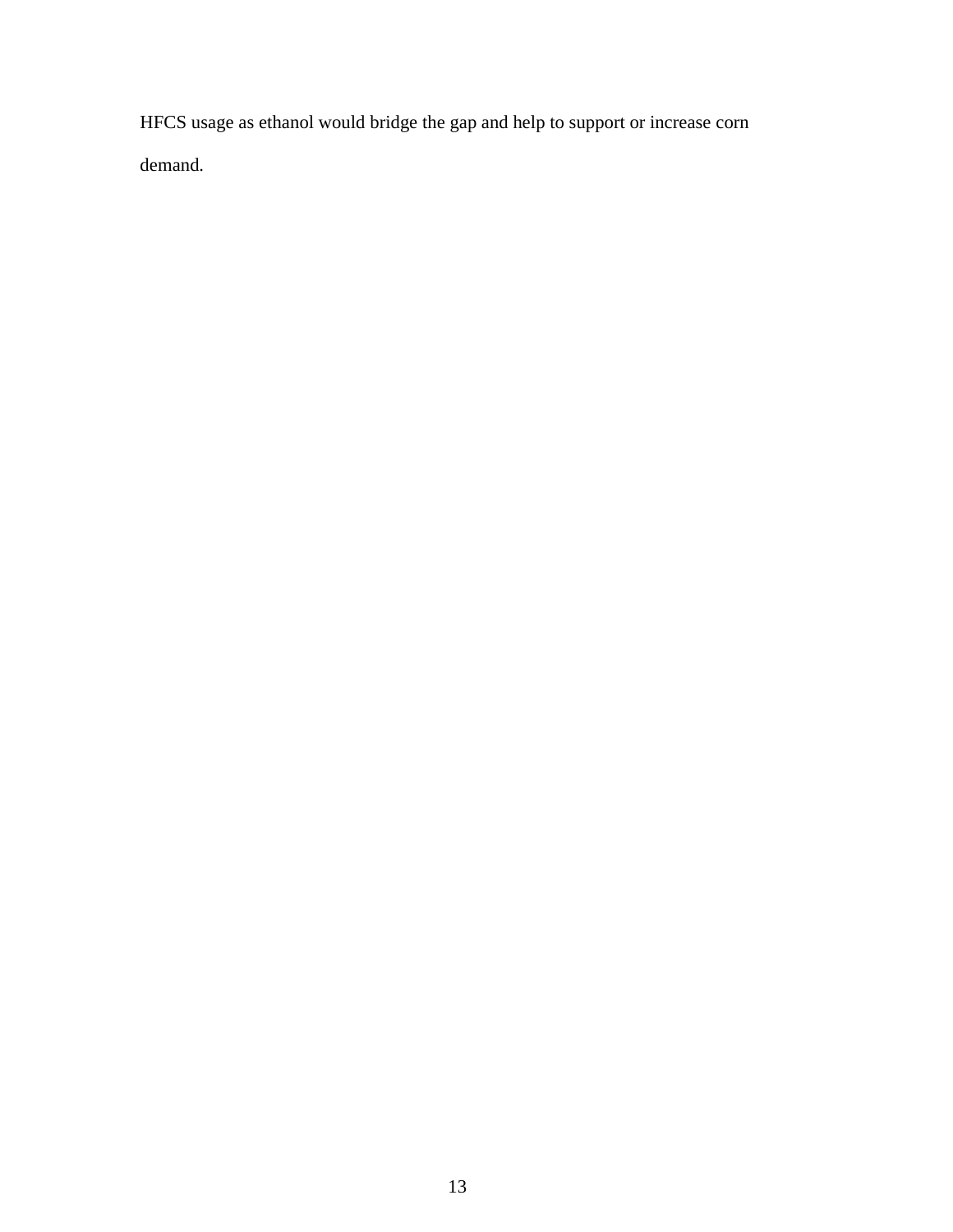HFCS usage as ethanol would bridge the gap and help to support or increase corn demand.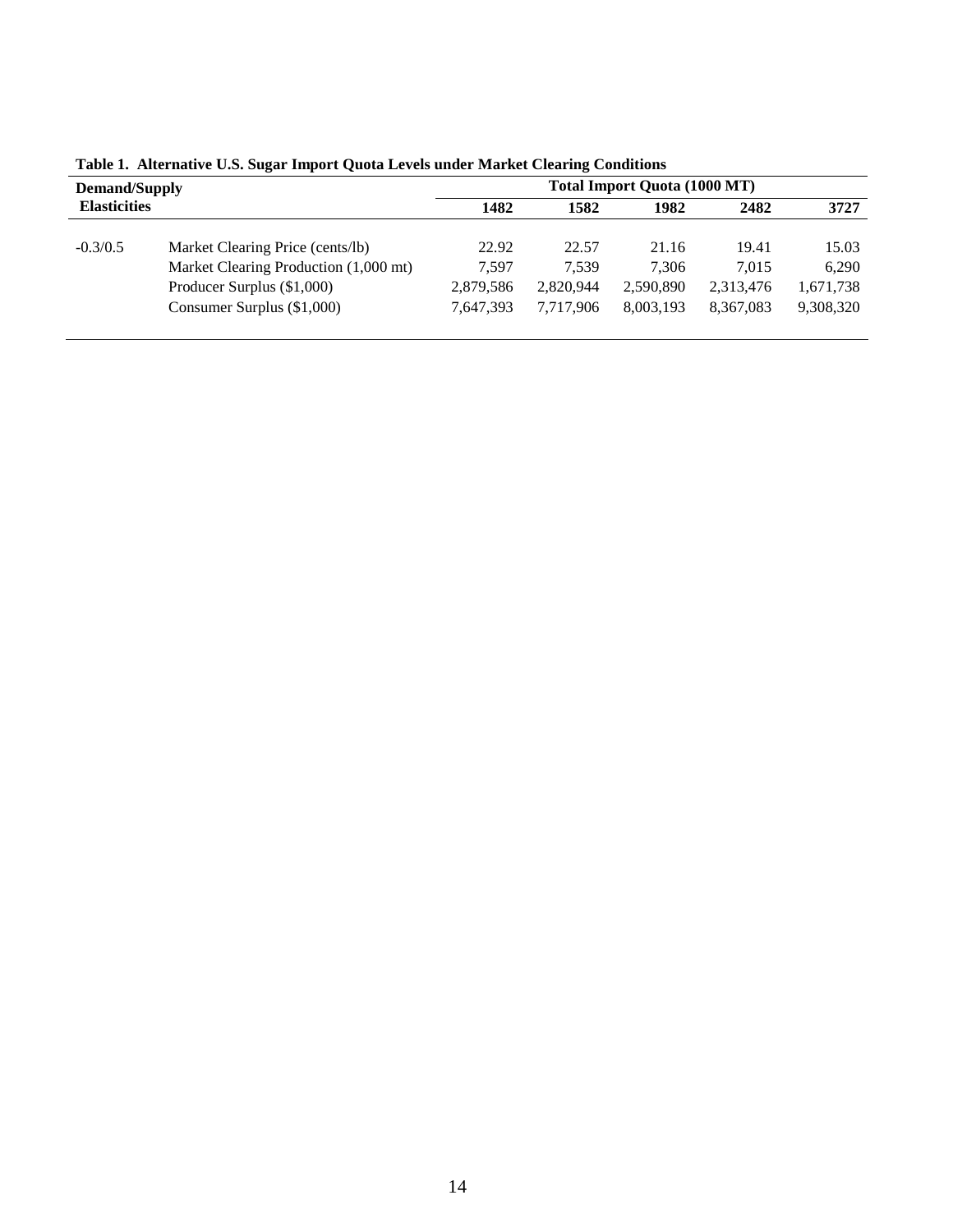| <b>Demand/Supply</b><br><b>Elasticities</b> |                                       | <b>Total Import Quota (1000 MT)</b> |           |           |           |           |
|---------------------------------------------|---------------------------------------|-------------------------------------|-----------|-----------|-----------|-----------|
|                                             |                                       | 1482                                | 1582      | 1982      | 2482      | 3727      |
|                                             |                                       |                                     |           |           |           |           |
| $-0.3/0.5$                                  | Market Clearing Price (cents/lb)      | 22.92                               | 22.57     | 21.16     | 19.41     | 15.03     |
|                                             | Market Clearing Production (1,000 mt) | 7.597                               | 7.539     | 7.306     | 7.015     | 6,290     |
|                                             | Producer Surplus (\$1,000)            | 2,879,586                           | 2,820,944 | 2,590,890 | 2,313,476 | 1,671,738 |
|                                             | Consumer Surplus (\$1,000)            | 7,647,393                           | 7.717.906 | 8,003,193 | 8,367,083 | 9,308,320 |
|                                             |                                       |                                     |           |           |           |           |

**Table 1. Alternative U.S. Sugar Import Quota Levels under Market Clearing Conditions**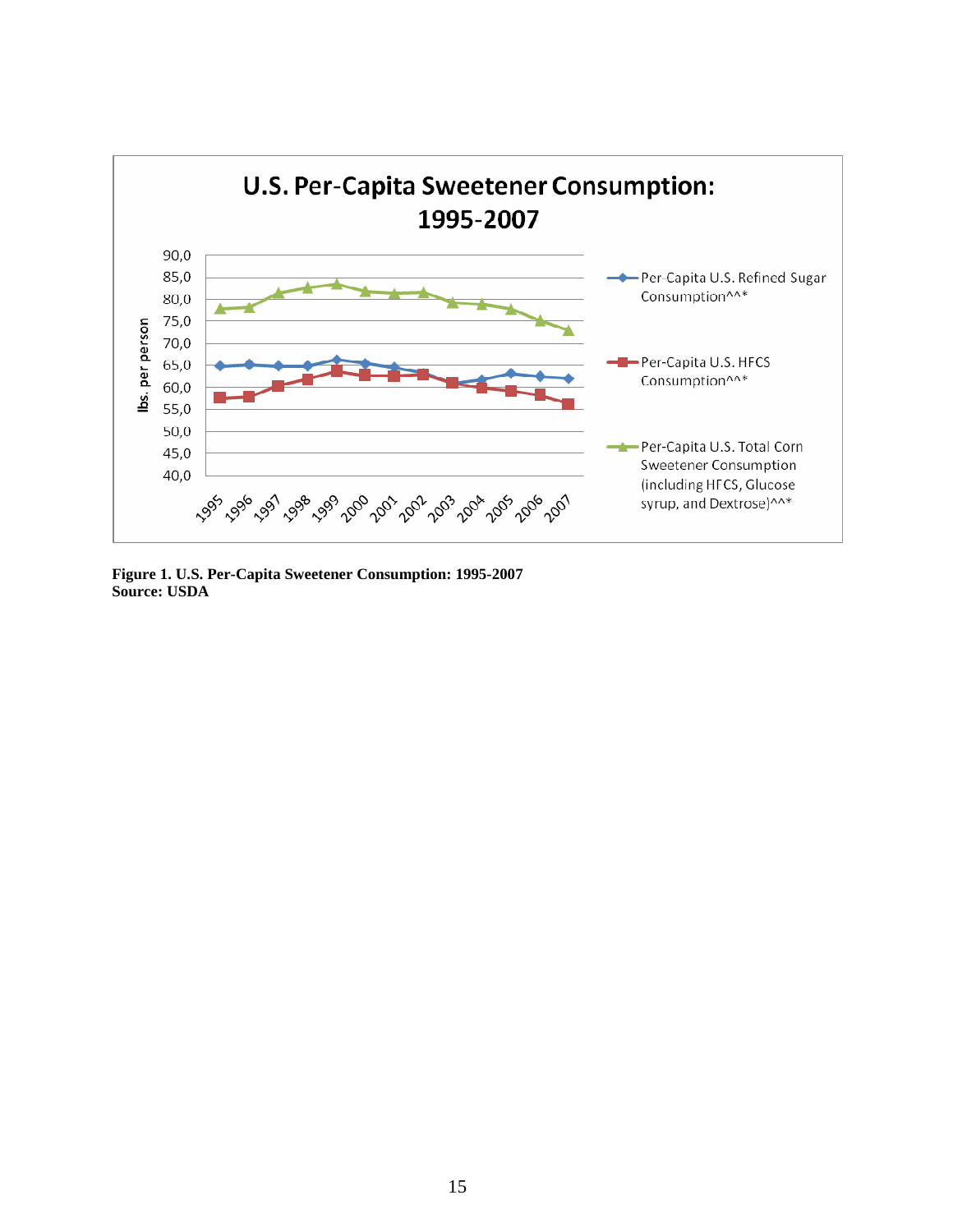

**Figure 1. U.S. Per-Capita Sweetener Consumption: 1995-2007 Source: USDA**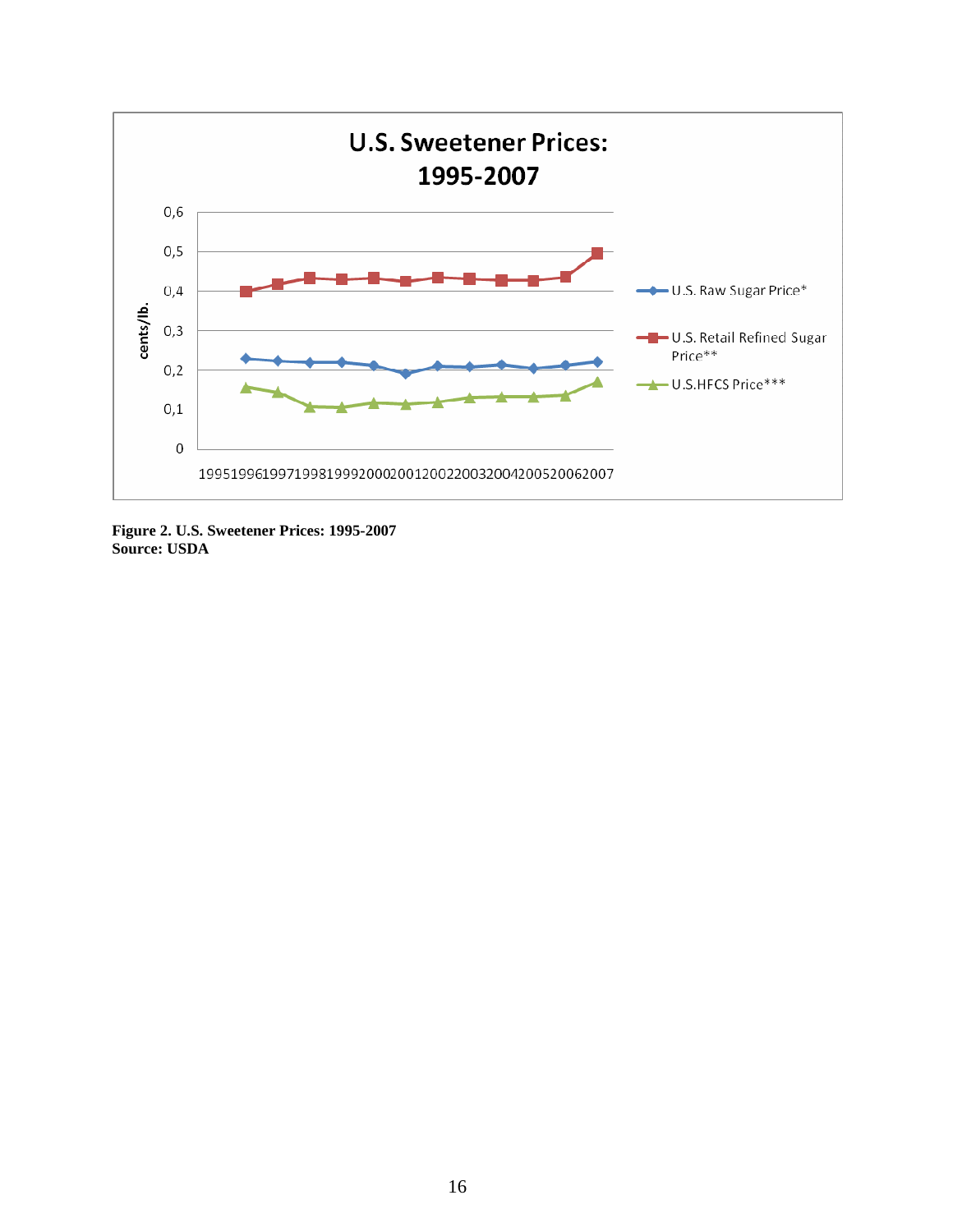

**Figure 2. U.S. Sweetener Prices: 1995-2007 Source: USDA**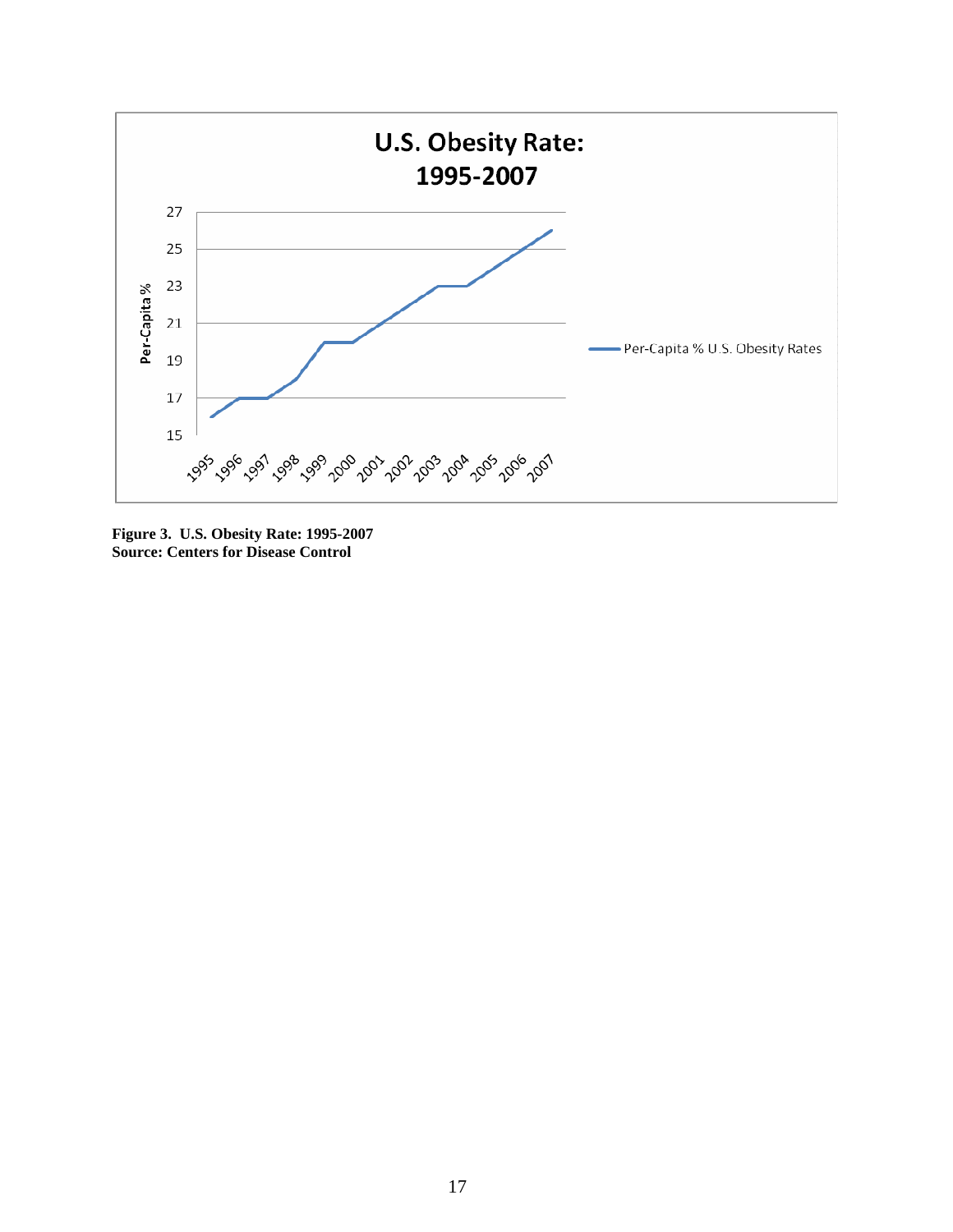

**Figure 3. U.S. Obesity Rate: 1995-2007 Source: Centers for Disease Control**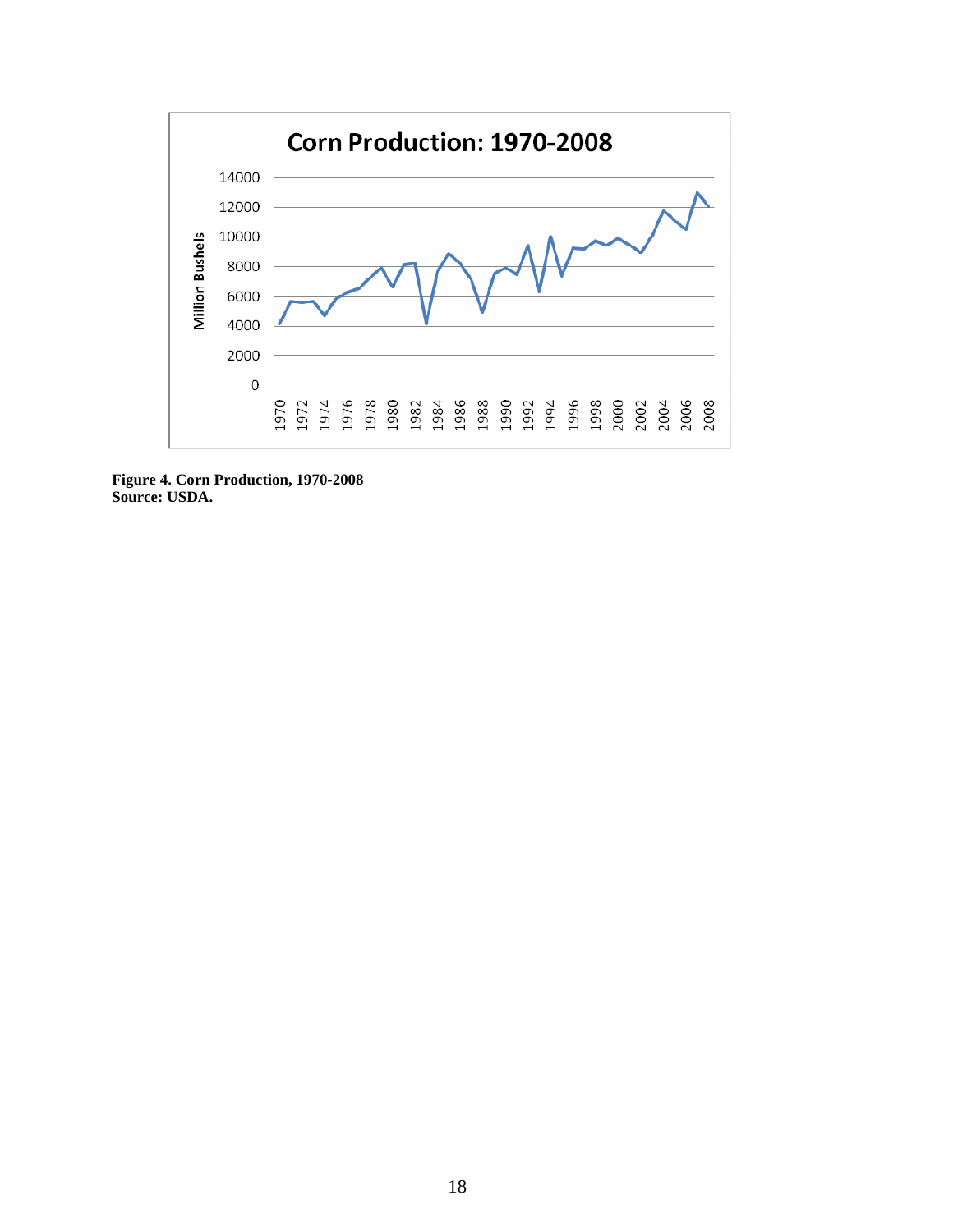

**Figure 4. Corn Production, 1970-2008 Source: USDA.**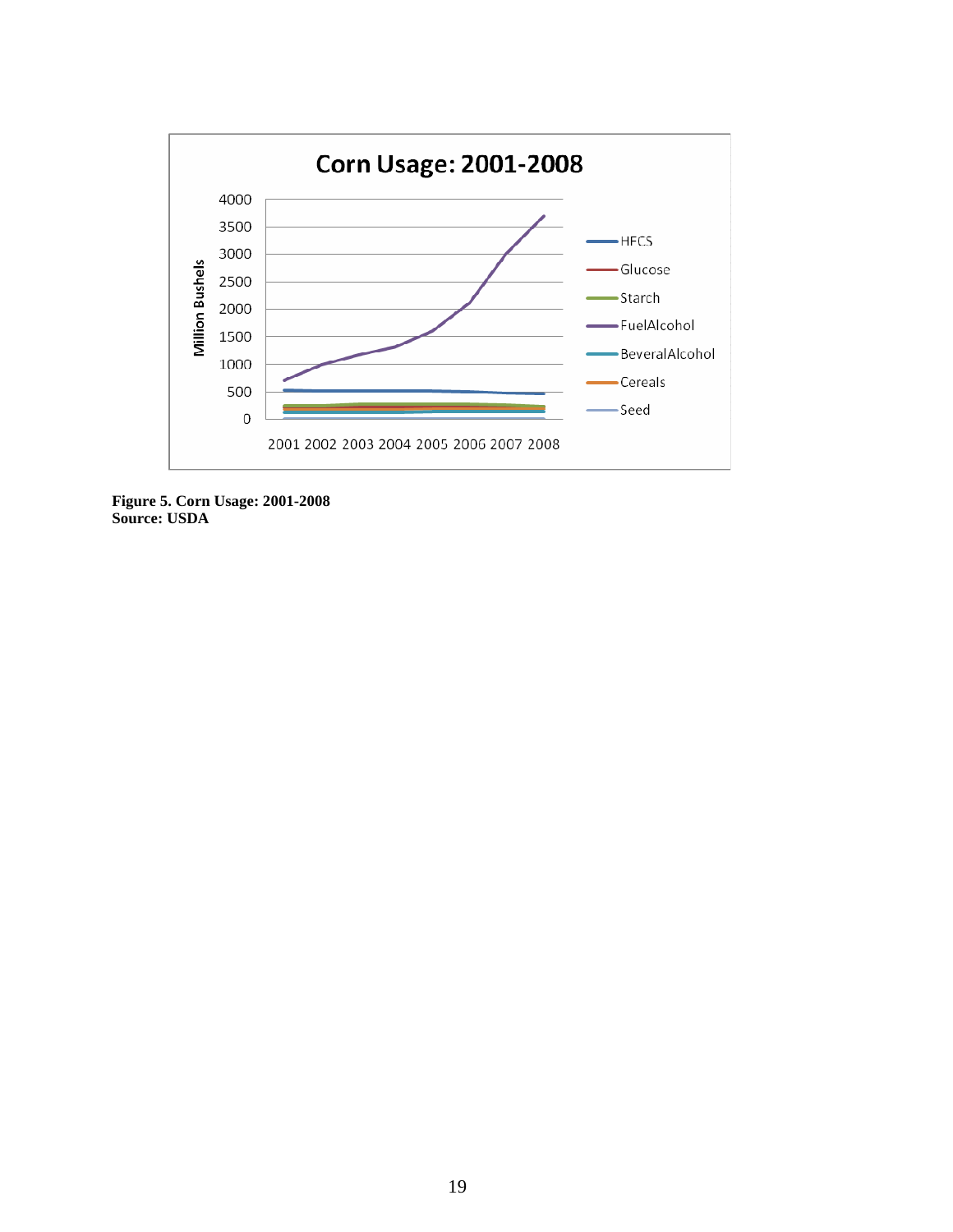

**Figure 5. Corn Usage: 2001-2008 Source: USDA**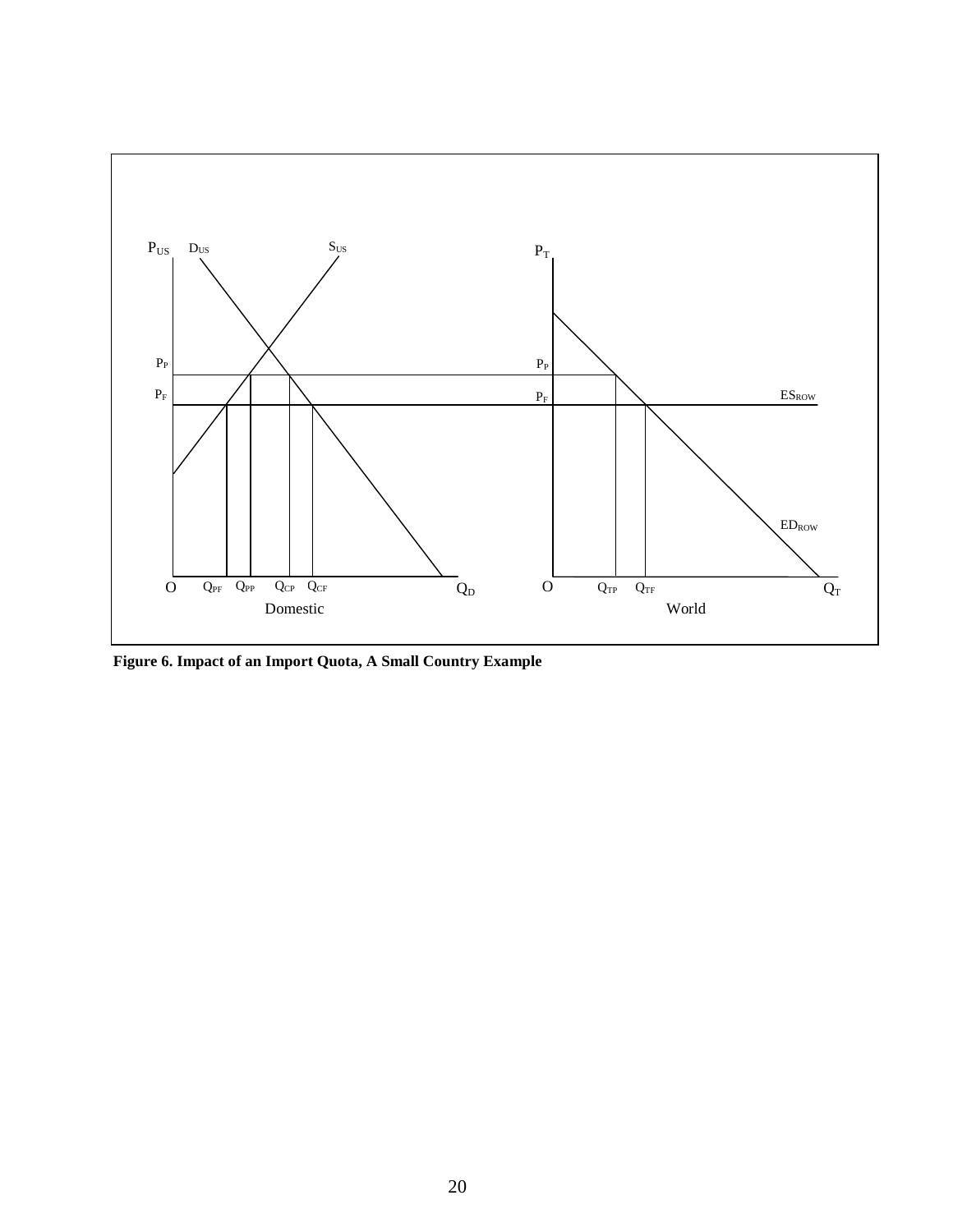

**Figure 6. Impact of an Import Quota, A Small Country Example**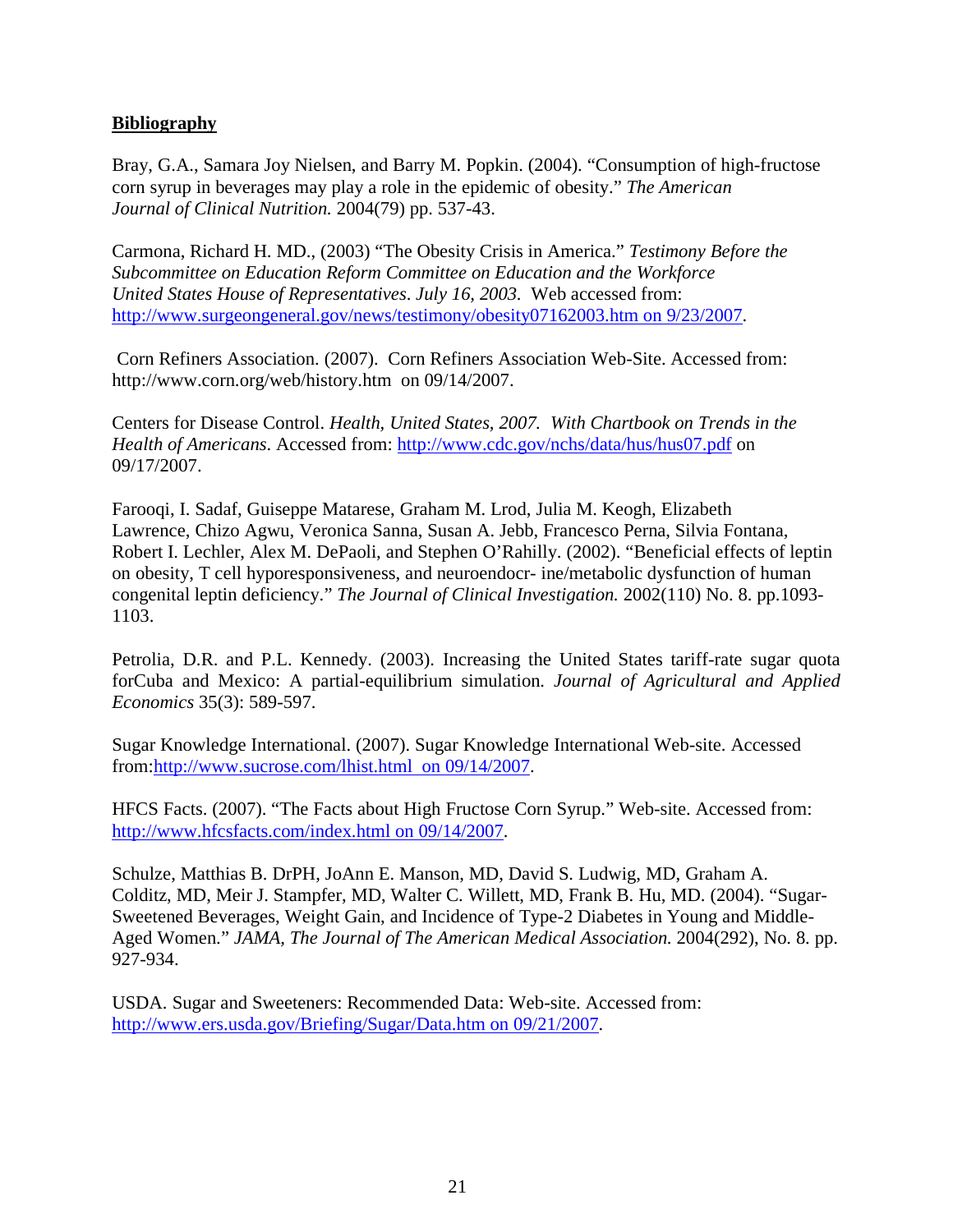## **Bibliography**

Bray, G.A., Samara Joy Nielsen, and Barry M. Popkin. (2004). "Consumption of high-fructose corn syrup in beverages may play a role in the epidemic of obesity." *The American Journal of Clinical Nutrition.* 2004(79) pp. 537-43.

Carmona, Richard H. MD., (2003) "The Obesity Crisis in America." *Testimony Before the Subcommittee on Education Reform Committee on Education and the Workforce United States House of Representatives*. *July 16, 2003.* Web accessed from: http://www.surgeongeneral.gov/news/testimony/obesity07162003.htm on 9/23/2007.

 Corn Refiners Association. (2007). Corn Refiners Association Web-Site. Accessed from: http://www.corn.org/web/history.htm on 09/14/2007.

Centers for Disease Control. *Health, United States, 2007. With Chartbook on Trends in the Health of Americans*. Accessed from: http://www.cdc.gov/nchs/data/hus/hus07.pdf on 09/17/2007.

Farooqi, I. Sadaf, Guiseppe Matarese, Graham M. Lrod, Julia M. Keogh, Elizabeth Lawrence, Chizo Agwu, Veronica Sanna, Susan A. Jebb, Francesco Perna, Silvia Fontana, Robert I. Lechler, Alex M. DePaoli, and Stephen O'Rahilly. (2002). "Beneficial effects of leptin on obesity, T cell hyporesponsiveness, and neuroendocr- ine/metabolic dysfunction of human congenital leptin deficiency." *The Journal of Clinical Investigation.* 2002(110) No. 8. pp.1093- 1103.

Petrolia, D.R. and P.L. Kennedy. (2003). Increasing the United States tariff-rate sugar quota forCuba and Mexico: A partial-equilibrium simulation. *Journal of Agricultural and Applied Economics* 35(3): 589-597.

Sugar Knowledge International. (2007). Sugar Knowledge International Web-site. Accessed from:http://www.sucrose.com/lhist.html on 09/14/2007.

HFCS Facts. (2007). "The Facts about High Fructose Corn Syrup." Web-site. Accessed from: http://www.hfcsfacts.com/index.html on 09/14/2007.

Schulze, Matthias B. DrPH, JoAnn E. Manson, MD, David S. Ludwig, MD, Graham A. Colditz, MD, Meir J. Stampfer, MD, Walter C. Willett, MD, Frank B. Hu, MD. (2004). "Sugar-Sweetened Beverages, Weight Gain, and Incidence of Type-2 Diabetes in Young and Middle-Aged Women." *JAMA, The Journal of The American Medical Association.* 2004(292), No. 8. pp. 927-934.

USDA. Sugar and Sweeteners: Recommended Data: Web-site. Accessed from: http://www.ers.usda.gov/Briefing/Sugar/Data.htm on 09/21/2007.